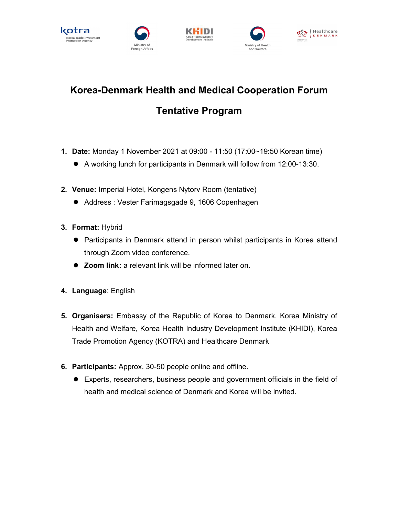









## Korea-Denmark Health and Medical Cooperation Forum Tentative Program

- 1. Date: Monday 1 November 2021 at 09:00 11:50 (17:00~19:50 Korean time)
	- A working lunch for participants in Denmark will follow from 12:00-13:30.
- 2. Venue: Imperial Hotel, Kongens Nytorv Room (tentative)
	- Address : Vester Farimagsgade 9, 1606 Copenhagen
- 3. Format: Hybrid
	- **•** Participants in Denmark attend in person whilst participants in Korea attend through Zoom video conference.
	- Zoom link: a relevant link will be informed later on.
- 4. Language: English
- 5. Organisers: Embassy of the Republic of Korea to Denmark, Korea Ministry of Health and Welfare, Korea Health Industry Development Institute (KHIDI), Korea Trade Promotion Agency (KOTRA) and Healthcare Denmark
- 6. Participants: Approx. 30-50 people online and offline.
	- Experts, researchers, business people and government officials in the field of health and medical science of Denmark and Korea will be invited.